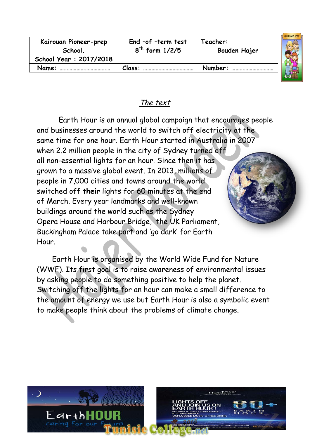| Kairouan Pioneer-prep<br>School.<br>School Year: 2017/2018 | End -of -term test<br>$8th$ form $1/2/5$ | Teacher:<br>Bouden Hajer | aa mare mee |
|------------------------------------------------------------|------------------------------------------|--------------------------|-------------|
| Name:                                                      | Class:                                   | Number:                  |             |
|                                                            |                                          |                          |             |

# The text

 Earth Hour is an annual global campaign that encourages people and businesses around the world to switch off electricity at the same time for one hour. Earth Hour started in Australia in 2007 when 2.2 million people in the city of Sydney turned off all non-essential lights for an hour. Since then it has grown to a massive global event. In 2013, millions of people in 7,000 cities and towns around the world switched off **their** lights for 60 minutes at the end of March. Every year landmarks and well-known buildings around the world such as the Sydney Opera House and Harbour Bridge, the UK Parliament, Buckingham Palace take part and 'go dark' for Earth Hour.

 Earth Hour is organised by the World Wide Fund for Nature (WWF). Its first goal is to raise awareness of environmental issues by asking people to do something positive to help the planet. Switching off the lights for an hour can make a small difference to the amount of energy we use but Earth Hour is also a symbolic event to make people think about the problems of climate change.

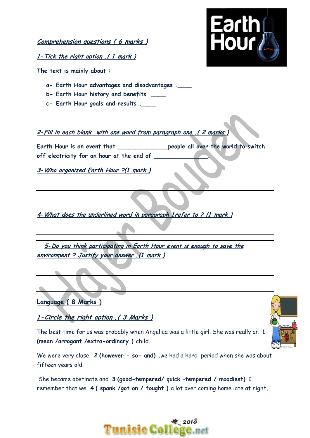Comprehension questions ( 6 marks )

1 - Tick the right option .( 1 mark )

**The text is mainly about :**

- **a- Earth Hour advantages and disadvantages .\_\_\_\_**
- **b- Earth Hour history and benefits .\_\_\_\_**
- **c- Earth Hour goals and results .\_\_\_\_**

#### 2- Fill in each blank with one word from paragraph one . (2 marks

**Earth Hour is an event that \_\_\_\_\_\_\_\_\_\_\_\_\_\_people all over the world to switch off electricity for an hour at the end of \_\_\_\_\_\_\_\_\_\_\_\_\_\_\_.**

3- Who organized Earth Hour ?(1 mark )

4- What does the underlined word in paragraph 1 refer to ? (1 mark )

5- Do you think participating in Earth Hour event is enough to save the environment ? Justify your answer .(1 mark )

**Language ( 8 Marks )**

1 - Circle the right option . ( 3 Marks )

The best time for us was probably when Angelica was a little girl. She was really an **1 (mean /arrogant /extra-ordinary )** child.



She became obstinate and **3 (good-tempered/ quick –tempered / moodiest)**. I remember that we **4 ( spank /got on / fought )** a lot over coming home late at night,

## $*$  2018 unisie College



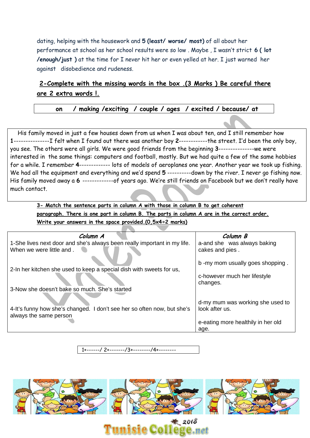dating, helping with the housework and **5 (least/ worse/ most)** of all about her performance at school as her school results were so low . Maybe , I wasn't strict **6 ( lot /enough/just )** at the time for I never hit her or even yelled at her. I just warned her againstdisobedience and rudeness.

#### **2-Complete with the missing words in the box .(3 Marks ) Be careful there are 2 extra words !.**

 **on / making /exciting / couple / ages / excited / because/ at**

 His family moved in just a few houses down from us when I was about ten, and I still remember how **1**---------------I felt when I found out there was another boy **2**------------the street. I'd been the only boy, you see. The others were all girls. We were good friends from the beginning **3**---------------we were interested in the same things: computers and football, mostly. But we had quite a few of the same hobbies for a while. I remember **4**------------- lots of models of aeroplanes one year. Another year we took up fishing. We had all the equipment and everything and we'd spend 5 ----------down by the river. I never go fishing now. His family moved away a **6** -------------of years ago. We're still friends on Facebook but we don't really have much contact.

**3- Match the sentence parts in column A with those in column B to get coherent paragraph. There is one part in column B. The parts in column A are in the correct order. Write your answers in the space provided.(0,5x4=2 marks)**

| Column A                                                                 | Column B                                 |
|--------------------------------------------------------------------------|------------------------------------------|
| 1-She lives next door and she's always been really important in my life. | a-and she was always baking              |
| When we were little and.                                                 | cakes and pies.                          |
|                                                                          | b -my mom usually goes shopping.         |
| 2-In her kitchen she used to keep a special dish with sweets for us,     |                                          |
|                                                                          | c-however much her lifestyle<br>changes. |
| 3-Now she doesn't bake so much. She's started                            |                                          |
|                                                                          | d-my mum was working she used to         |
| 4-It's funny how she's changed. I don't see her so often now, but she's  | look after us.                           |
| always the same person                                                   |                                          |
|                                                                          | e-eating more healthily in her old       |
|                                                                          | age.                                     |

---/ 2+-------/3+---------/4+---